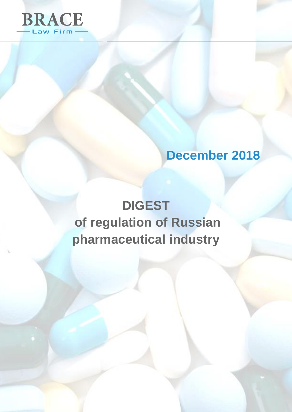

# **December 2018**

# **DIGEST of regulation of Russian pharmaceutical industry**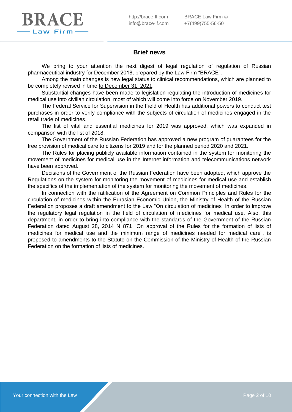

# **Brief news**

We bring to your attention the next digest of legal regulation of regulation of Russian pharmaceutical industry for December 2018, prepared by the Law Firm "BRACE".

Among the main changes is new legal status to clinical recommendations, which are planned to be completely revised in time to December 31, 2021.

Substantial changes have been made to legislation regulating the introduction of medicines for medical use into civilian circulation, most of which will come into force on November 2019.

The Federal Service for Supervision in the Field of Health has additional powers to conduct test purchases in order to verify compliance with the subjects of circulation of medicines engaged in the retail trade of medicines.

The list of vital and essential medicines for 2019 was approved, which was expanded in comparison with the list of 2018.

The Government of the Russian Federation has approved a new program of guarantees for the free provision of medical care to citizens for 2019 and for the planned period 2020 and 2021.

The Rules for placing publicly available information contained in the system for monitoring the movement of medicines for medical use in the Internet information and telecommunications network have been approved.

Decisions of the Government of the Russian Federation have been adopted, which approve the Regulations on the system for monitoring the movement of medicines for medical use and establish the specifics of the implementation of the system for monitoring the movement of medicines.

In connection with the ratification of the Agreement on Common Principles and Rules for the circulation of medicines within the Eurasian Economic Union, the Ministry of Health of the Russian Federation proposes a draft amendment to the Law "On circulation of medicines" in order to improve the regulatory legal regulation in the field of circulation of medicines for medical use. Also, this department, in order to bring into compliance with the standards of the Government of the Russian Federation dated August 28, 2014 N 871 "On approval of the Rules for the formation of lists of medicines for medical use and the minimum range of medicines needed for medical care", is proposed to amendments to the Statute on the Commission of the Ministry of Health of the Russian Federation on the formation of lists of medicines.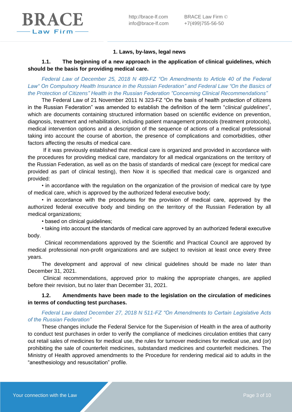

#### **1. Laws, by-laws, legal news**

**1.1. The beginning of a new approach in the application of clinical guidelines, which should be the basis for providing medical care.**

*Federal Law of December 25, 2018 N 489-FZ "On Amendments to Article 40 of the Federal Law" On Compulsory Health Insurance in the Russian Federation" and Federal Law "On the Basics of the Protection of Citizens" Health in the Russian Federation "Concerning Clinical Recommendations"*

The Federal Law of 21 November 2011 N 323-FZ "On the basis of health protection of citizens in the Russian Federation" was amended to establish the definition of the term "*clinical guidelines*", which are documents containing structured information based on scientific evidence on prevention, diagnosis, treatment and rehabilitation, including patient management protocols (treatment protocols), medical intervention options and a description of the sequence of actions of a medical professional taking into account the course of abortion, the presence of complications and comorbidities, other factors affecting the results of medical care.

If it was previously established that medical care is organized and provided in accordance with the procedures for providing medical care, mandatory for all medical organizations on the territory of the Russian Federation, as well as on the basis of standards of medical care (except for medical care provided as part of clinical testing), then Now it is specified that medical care is organized and provided:

• in accordance with the regulation on the organization of the provision of medical care by type of medical care, which is approved by the authorized federal executive body;

• in accordance with the procedures for the provision of medical care, approved by the authorized federal executive body and binding on the territory of the Russian Federation by all medical organizations;

• based on clinical guidelines;

• taking into account the standards of medical care approved by an authorized federal executive body.

 Clinical recommendations approved by the Scientific and Practical Council are approved by medical professional non-profit organizations and are subject to revision at least once every three years.

The development and approval of new clinical guidelines should be made no later than December 31, 2021.

Clinical recommendations, approved prior to making the appropriate changes, are applied before their revision, but no later than December 31, 2021.

#### **1.2. Amendments have been made to the legislation on the circulation of medicines in terms of conducting test purchases.**

#### *Federal Law dated December 27, 2018 N 511-FZ "On Amendments to Certain Legislative Acts of the Russian Federation"*

These changes include the Federal Service for the Supervision of Health in the area of authority to conduct test purchases in order to verify the compliance of medicines circulation entities that carry out retail sales of medicines for medical use, the rules for turnover medicines for medical use, and (or) prohibiting the sale of counterfeit medicines, substandard medicines and counterfeit medicines. The Ministry of Health approved amendments to the Procedure for rendering medical aid to adults in the "anesthesiology and resuscitation" profile.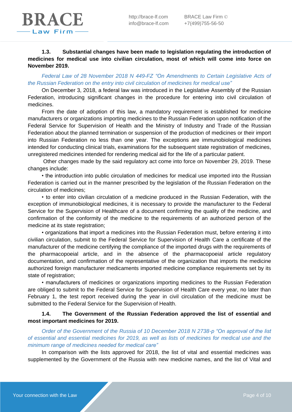# **1.3. Substantial changes have been made to legislation regulating the introduction of medicines for medical use into civilian circulation, most of which will come into force on November 2019.**

# *Federal Law of 28 November 2018 N 449-FZ "On Amendments to Certain Legislative Acts of the Russian Federation on the entry into civil circulation of medicines for medical use"*

On December 3, 2018, a federal law was introduced in the Legislative Assembly of the Russian Federation, introducing significant changes in the procedure for entering into civil circulation of medicines.

From the date of adoption of this law, a mandatory requirement is established for medicine manufacturers or organizations importing medicines to the Russian Federation upon notification of the Federal Service for Supervision of Health and the Ministry of Industry and Trade of the Russian Federation about the planned termination or suspension of the production of medicines or their import into Russian Federation no less than one year. The exceptions are immunobiological medicines intended for conducting clinical trials, examinations for the subsequent state registration of medicines, unregistered medicines intended for rendering medical aid for the life of a particular patient.

Other changes made by the said regulatory act come into force on November 29, 2019. These changes include:

• the introduction into public circulation of medicines for medical use imported into the Russian Federation is carried out in the manner prescribed by the legislation of the Russian Federation on the circulation of medicines;

• to enter into civilian circulation of a medicine produced in the Russian Federation, with the exception of immunobiological medicines, it is necessary to provide the manufacturer to the Federal Service for the Supervision of Healthcare of a document confirming the quality of the medicine, and confirmation of the conformity of the medicine to the requirements of an authorized person of the medicine at its state registration;

• organizations that import a medicines into the Russian Federation must, before entering it into civilian circulation, submit to the Federal Service for Supervision of Health Care a certificate of the manufacturer of the medicine certifying the compliance of the imported drugs with the requirements of the pharmacopoeial article, and in the absence of the pharmacopoeial article regulatory documentation, and confirmation of the representative of the organization that imports the medicine authorized foreign manufacturer medicaments imported medicine compliance requirements set by its state of registration;

• manufacturers of medicines or organizations importing medicines to the Russian Federation are obliged to submit to the Federal Service for Supervision of Health Care every year, no later than February 1, the test report received during the year in civil circulation of the medicine must be submitted to the Federal Service for the Supervision of Health.

# **1.4. The Government of the Russian Federation approved the list of essential and most important medicines for 2019.**

*Order of the Government of the Russia of 10 December 2018 N 2738-p "On approval of the list of essential and essential medicines for 2019, as well as lists of medicines for medical use and the minimum range of medicines needed for medical care"*

In comparison with the lists approved for 2018, the list of vital and essential medicines was supplemented by the Government of the Russia with new medicine names, and the list of Vital and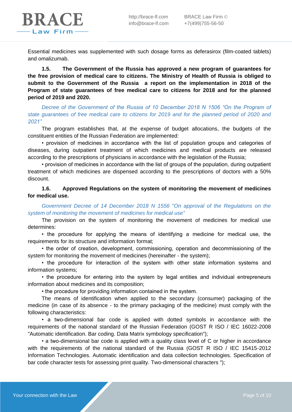

Essential medicines was supplemented with such dosage forms as deferasirox (film-coated tablets) and omalizumab.

**1.5. The Government of the Russia has approved a new program of guarantees for the free provision of medical care to citizens. The Ministry of Health of Russia is obliged to submit to the Government of the Russia a report on the implementation in 2018 of the Program of state guarantees of free medical care to citizens for 2018 and for the planned period of 2019 and 2020.**

*Decree of the Government of the Russia of 10 December 2018 N 1506 "On the Program of state guarantees of free medical care to citizens for 2019 and for the planned period of 2020 and 2021"*

The program establishes that, at the expense of budget allocations, the budgets of the constituent entities of the Russian Federation are implemented:

• provision of medicines in accordance with the list of population groups and categories of diseases, during outpatient treatment of which medicines and medical products are released according to the prescriptions of physicians in accordance with the legislation of the Russia;

• provision of medicines in accordance with the list of groups of the population, during outpatient treatment of which medicines are dispensed according to the prescriptions of doctors with a 50% discount.

**1.6. Approved Regulations on the system of monitoring the movement of medicines for medical use.**

*Government Decree of 14 December 2018 N 1556 "On approval of the Regulations on the system of monitoring the movement of medicines for medical use"*

The provision on the system of monitoring the movement of medicines for medical use determines:

• the procedure for applying the means of identifying a medicine for medical use, the requirements for its structure and information format;

• the order of creation, development, commissioning, operation and decommissioning of the system for monitoring the movement of medicines (hereinafter - the system);

• the procedure for interaction of the system with other state information systems and information systems;

• the procedure for entering into the system by legal entities and individual entrepreneurs information about medicines and its composition;

• the procedure for providing information contained in the system.

The means of identification when applied to the secondary (consumer) packaging of the medicine (in case of its absence - to the primary packaging of the medicine) must comply with the following characteristics:

• a two-dimensional bar code is applied with dotted symbols in accordance with the requirements of the national standard of the Russian Federation (GOST R ISO / IEC 16022-2008 "Automatic identification. Bar coding. Data Matrix symbology specification");

• a two-dimensional bar code is applied with a quality class level of C or higher in accordance with the requirements of the national standard of the Russia (GOST R ISO / IEC 15415-2012 Information Technologies. Automatic identification and data collection technologies. Specification of bar code character tests for assessing print quality. Two-dimensional characters ");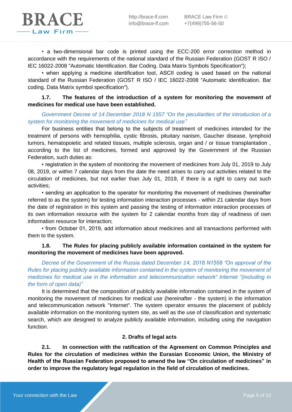• a two-dimensional bar code is printed using the ECC-200 error correction method in accordance with the requirements of the national standard of the Russian Federation (GOST R ISO / IEC 16022-2008 "Automatic Identification. Bar Coding. Data Matrix Symbols Specification");

• when applying a medicine identification tool, ASCII coding is used based on the national standard of the Russian Federation (GOST R ISO / IEC 16022-2008 "Automatic identification. Bar coding. Data Matrix symbol specification").

# **1.7. The features of the introduction of a system for monitoring the movement of medicines for medical use have been established.**

# *Government Decree of 14 December 2018 N 1557 "On the peculiarities of the introduction of a system for monitoring the movement of medicines for medical use"*

For business entities that belong to the subjects of treatment of medicines intended for the treatment of persons with hemophilia, cystic fibrosis, pituitary nanism, Gaucher disease, lymphoid tumors, hematopoietic and related tissues, multiple sclerosis, organ and / or tissue transplantation , according to the list of medicines, formed and approved by the Government of the Russian Federation, such duties as:

• registration in the system of monitoring the movement of medicines from July 01, 2019 to July 08, 2019, or within 7 calendar days from the date the need arises to carry out activities related to the circulation of medicines, but not earlier than July 01, 2019, if there is a right to carry out such activities;

• sending an application to the operator for monitoring the movement of medicines (hereinafter referred to as the system) for testing information interaction processes - within 21 calendar days from the date of registration in this system and passing the testing of information interaction processes of its own information resource with the system for 2 calendar months from day of readiness of own information resource for interaction;

• from October 01, 2019, add information about medicines and all transactions performed with them to the system.

# **1.8. The Rules for placing publicly available information contained in the system for monitoring the movement of medicines have been approved.**

*Decree of the Government of the Russia dated December 14, 2018 N1558 "On approval of the Rules for placing publicly available information contained in the system of monitoring the movement of medicines for medical use in the information and telecommunication network" Internet "(including in the form of open data)"*

It is determined that the composition of publicly available information contained in the system of monitoring the movement of medicines for medical use (hereinafter - the system) in the information and telecommunication network "Internet". The system operator ensures the placement of publicly available information on the monitoring system site, as well as the use of classification and systematic search, which are designed to analyze publicly available information, including using the navigation function.

#### **2. Drafts of legal acts**

**2.1. In connection with the ratification of the Agreement on Common Principles and Rules for the circulation of medicines within the Eurasian Economic Union, the Ministry of Health of the Russian Federation proposed to amend the law "On circulation of medicines" in order to improve the regulatory legal regulation in the field of circulation of medicines.**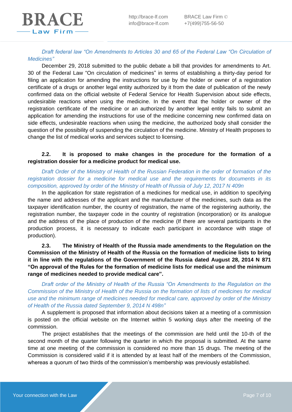*Draft federal law "On Amendments to Articles 30 and 65 of the Federal Law "On Circulation of Medicines"*

December 29, 2018 submitted to the public debate a bill that provides for amendments to Art. 30 of the Federal Law "On сirculation of medicines" in terms of establishing a thirty-day period for filing an application for amending the instructions for use by the holder or owner of a registration certificate of a drugs or another legal entity authorized by it from the date of publication of the newly confirmed data on the official website of Federal Service for Health Supervision about side effects, undesirable reactions when using the medicine. In the event that the holder or owner of the registration certificate of the medicine or an authorized by another legal entity fails to submit an application for amending the instructions for use of the medicine concerning new confirmed data on side effects, undesirable reactions when using the medicine, the authorized body shall consider the question of the possibility of suspending the circulation of the medicine. Ministry of Health proposes to change the list of medical works and services subject to licensing.

#### **2.2. It is proposed to make changes in the procedure for the formation of a registration dossier for a medicine product for medical use.**

*Draft Order of the Ministry of Health of the Russian Federation in the order of formation of the registration dossier for a medicine for medical use and the requirements for documents in its composition, approved by order of the Ministry of Health of Russia of July 12, 2017 N 409n*

In the application for state registration of a medicines for medical use, in addition to specifying the name and addresses of the applicant and the manufacturer of the medicines, such data as the taxpayer identification number, the country of registration, the name of the registering authority, the registration number, the taxpayer code in the country of registration (incorporation) or its analogue and the address of the place of production of the medicine (If there are several participants in the production process, it is necessary to indicate each participant in accordance with stage of production).

**2.3. The Ministry of Health of the Russia made amendments to the Regulation on the Commission of the Ministry of Health of the Russia on the formation of medicine lists to bring it in line with the regulations of the Government of the Russia dated August 28, 2014 N 871 "On approval of the Rules for the formation of medicine lists for medical use and the minimum range of medicines needed to provide medical care".**

*Draft order of the Ministry of Health of the Russia "On Amendments to the Regulation on the Commission of the Ministry of Health of the Russia on the formation of lists of medicines for medical use and the minimum range of medicines needed for medical care, approved by order of the Ministry of Health of the Russia dated September 9, 2014 N 498n"*

A supplement is proposed that information about decisions taken at a meeting of a commission is posted on the official website on the Internet within 5 working days after the meeting of the commission.

The project establishes that the meetings of the commission are held until the 10-th of the second month of the quarter following the quarter in which the proposal is submitted. At the same time at one meeting of the commission is considered no more than 15 drugs. The meeting of the Commission is considered valid if it is attended by at least half of the members of the Commission, whereas a quorum of two thirds of the commission's membership was previously established.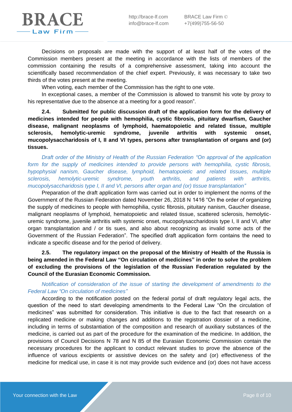Decisions on proposals are made with the support of at least half of the votes of the Commission members present at the meeting in accordance with the lists of members of the commission containing the results of a comprehensive assessment, taking into account the scientifically based recommendation of the chief expert. Previously, it was necessary to take two thirds of the votes present at the meeting.

When voting, each member of the Commission has the right to one vote.

In exceptional cases, a member of the Commission is allowed to transmit his vote by proxy to his representative due to the absence at a meeting for a good reason".

**2.4. Submitted for public discussion draft of the application form for the delivery of medicines intended for people with hemophilia, cystic fibrosis, pituitary dwarfism, Gaucher disease, malignant neoplasms of lymphoid, haematopoietic and related tissue, multiple sclerosis, hemolytic-uremic syndrome, juvenile arthritis with systemic onset, mucopolysaccharidosis of I, II and VI types, persons after transplantation of organs and (or) tissues.**

*Draft order of the Ministry of Health of the Russian Federation "On approval of the application form for the supply of medicines intended to provide persons with hemophilia, cystic fibrosis, hypophysial nanism, Gaucher disease, lymphoid, hematopoietic and related tissues, multiple sclerosis, hemolytic-uremic syndrome, youth arthritis, and patients with arthritis, mucopolysaccharidosis type I, II and VI, persons after organ and (or) tissue transplantation"*

Preparation of the draft application form was carried out in order to implement the norms of the Government of the Russian Federation dated November 26, 2018 N 1416 "On the order of organizing the supply of medicines to people with hemophilia, cystic fibrosis, pituitary nanism, Gaucher disease, malignant neoplasms of lymphoid, hematopoietic and related tissue, scattered sclerosis, hemolyticuremic syndrome, juvenile arthritis with systemic onset, mucopolysaccharidosis type I, II and VI, after organ transplantation and / or tis sues, and also about recognizing as invalid some acts of the Government of the Russian Federation". The specified draft application form contains the need to indicate a specific disease and for the period of delivery.

**2.5. The regulatory impact on the proposal of the Ministry of Health of the Russia is being amended in the Federal Law "On circulation of medicines" in order to solve the problem of excluding the provisions of the legislation of the Russian Federation regulated by the Council of the Eurasian Economic Commission.**

*Notification of consideration of the issue of starting the development of amendments to the Federal Law "On circulation of medicines"*

According to the notification posted on the federal portal of draft regulatory legal acts, the question of the need to start developing amendments to the Federal Law "On the circulation of medicines" was submitted for consideration. This initiative is due to the fact that research on a replicated medicine or making changes and additions to the registration dossier of a medicine, including in terms of substantiation of the composition and research of auxiliary substances of the medicine, is carried out as part of the procedure for the examination of the medicine. In addition, the provisions of Council Decisions N 78 and N 85 of the Eurasian Economic Commission contain the necessary procedures for the applicant to conduct relevant studies to prove the absence of the influence of various excipients or assistive devices on the safety and (or) effectiveness of the medicine for medical use, in case it is not may provide such evidence and (or) does not have access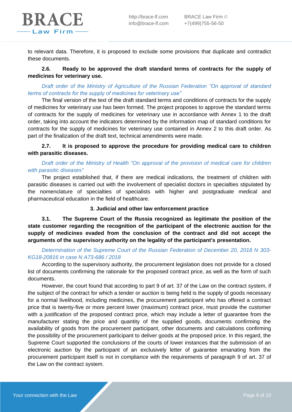

to relevant data. Therefore, it is proposed to exclude some provisions that duplicate and contradict these documents.

# **2.6. Ready to be approved the draft standard terms of contracts for the supply of medicines for veterinary use.**

#### *Draft order of the Ministry of Agriculture of the Russian Federation "On approval of standard terms of contracts for the supply of medicines for veterinary use"*

The final version of the text of the draft standard terms and conditions of contracts for the supply of medicines for veterinary use has been formed. The project proposes to approve the standard terms of contracts for the supply of medicines for veterinary use in accordance with Annex 1 to the draft order, taking into account the indicators determined by the information map of standard conditions for contracts for the supply of medicines for veterinary use contained in Annex 2 to this draft order. As part of the finalization of the draft text, technical amendments were made.

#### **2.7. It is proposed to approve the procedure for providing medical care to children with parasitic diseases.**

# *Draft order of the Ministry of Health "On approval of the provision of medical care for children with parasitic diseases"*

The project established that, if there are medical indications, the treatment of children with parasitic diseases is carried out with the involvement of specialist doctors in specialties stipulated by the nomenclature of specialties of specialists with higher and postgraduate medical and pharmaceutical education in the field of healthcare.

#### **3. Judicial and other law enforcement practice**

**3.1. The Supreme Court of the Russia recognized as legitimate the position of the state customer regarding the recognition of the participant of the electronic auction for the supply of medicines evaded from the conclusion of the contract and did not accept the arguments of the supervisory authority on the legality of the participant's presentation.**

#### *Determination of the Supreme Court of the Russian Federation of December 20, 2018 N 303- KG18-20816 in case N A73-686 / 2018*

According to the supervisory authority, the procurement legislation does not provide for a closed list of documents confirming the rationale for the proposed contract price, as well as the form of such documents.

However, the court found that according to part 9 of art. 37 of the Law on the contract system, if the subject of the contract for which a tender or auction is being held is the supply of goods necessary for a normal livelihood, including medicines, the procurement participant who has offered a contract price that is twenty-five or more percent lower (maximum) contract price, must provide the customer with a justification of the proposed contract price, which may include a letter of guarantee from the manufacturer stating the price and quantity of the supplied goods, documents confirming the availability of goods from the procurement participant, other documents and calculations confirming the possibility of the procurement participant to deliver goods at the proposed price. In this regard, the Supreme Court supported the conclusions of the courts of lower instances that the submission of an electronic auction by the participant of an exclusively letter of guarantee emanating from the procurement participant itself is not in compliance with the requirements of paragraph 9 of art. 37 of the Law on the contract system.